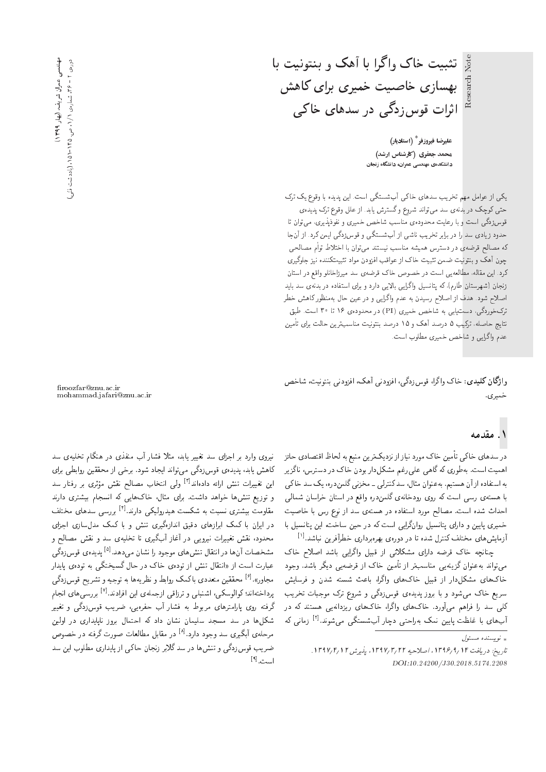Note تثبیت خاک واگرا با آهک و بنتونیت با بهسازی خاصیت خمیری برای کاهش اثرات قوس زدگ<sub>ی</sub> در سدهای خاک<sub>می</sub>

> عليرضا فيروزفر<sup>\*</sup> (استاديار) محمد جعفری (کارشناس ارشد) دانشکدهی مهندسی عمران، دانشگاه زنجان

یکے از عوامل مهم تخریب سدهای خاکے آبشستگے است. این پدیده با وقوع یک ترک حتی کوچک در بدنهی سد میتواند شروع و گسترش یابد. از علل وقوع ترک پدیدهی قوس(دگی است و با رعایت محدودهی مناسب شاخص خمیری و نفوذیذیری، می توان تا حدود زیادی سد را در برابر تخریب ناشی از آبشستگی و قوس زدگی ایمن کرد. از آنجا كه مصالح قرضهى در دسترس هميشه مناسب نيستند مىتوان با اختلاط توأم مصالحى چون آهک و بنتولیت ضمن تثبیت خاک از عواقب افزودن مواد تثبیتکننده نیز جلوگیری كرد. اين مقاله، مطالعهيي است در خصوص خاك قرضهى سد ميرزاخانلو واقع در استان زنجان (شهرستان طارم)، که پتانسمیل واگرایی بالایی دارد و برای استفاده در بدنهی سد باید اصلاح شود. هدف از اصلاح رسیدن به عدم واگرایی و در عین حال بهمنظور کاهش خطر ترک خوردگی، دستیابی به شاخص خمیری (PI) در محدودهی ۱۶ تا ۳۰ است. طبق نتایج حاصله، ترکیب ۵ درصد آهک و ۱۵ درصد بنتونیت مناسبترین حالت برای تأمین عدم واگرايي و شاخص خميري مطلوب است.

واژگان کلیدی: خاک واگرا، قوس زدگی، افزودنی آهک، افزودنی بنتونیت، شاخص خميري.

# مهنىسى عمران شريف، (بهار ۱۳۹۹. مهنسس عمران شريف دوروی ۲ – ۳۶ شماروی ۱/۱، ص. ۱۲۵–۱۵۱، (یادداشت فنٹی دورەي ۲ = ۶۶. شمارەي ۱۲، ص. ۱۲۵۵-۱۵. (يادداشت نشي) -> (پهار ۱۳۹۹) د

roozfar@znu.ac.ir mohammad.jafari@znu.ac.ir

#### ۱. مقدمه

در سدهای خاک<sub>م</sub> تأمین خاک مورد نیاز از نزدیکترین منبع به لحاظ اقتصادی حائز اهمیت است. بهطوری که گاهی علمی رغم مشکل دار بودن خاک در دسترس، ناگزیر به استفاده از آن هستیم. به عنوان مثال، سدکنترلی ـ مخزنی گلمندره، یک سد خاکی با هستهى رسى است كه روى رودخانهى گلمندره واقع در استان خراسان شمالى احداث شده است. مصالح مورد استفاده در هستهى سد از نوع رس با خاصيت خمیری پایین و دارای پتانسیل روانگرایی است که در حین ساخت، این پتانسیل با آزمایش های مختلف کنترل شده تا در دورهی بهرهبرداری خطرآفرین نباشد.<sup>[۱]</sup><br>این مطالب میاکست و با ایل میکند و است این ایران ایران با ایران

چنانچه خاک قرضه دارای مشکلاتی از قبیل واگرایی باشد اصلاح خاک میتواند بهعنوان گزینهیی مناسبتر از تأمین خاک از قرضهیی دیگر باشد. وجود خاک های مشکل دار از قبیل خاک های واگرا، باعث شسته شدن و فرسایش سریع خاک میشود و با بروز پدیدهی قوسزدگی و شروع ترک موجبات تخریب<br>کلب سد را فراهم میهآورد. خاکهای واگرا، خاکهای ریزدانهیم هستند که در تنی سد را فراهم می اورد. حافهای وا درا، حافهای ریزدانهیی هستند نه در<br>آیستان این این این موجود است که این موجود استان می اتا xm |v=tR [2] "OvwW|t |oDUW?; Q=JO |DL=Qx@ ltv u}}=B C\_re =@ |=y?;

» نويسنده مسئول

نیروی وارد بر اجزای سد تغییر یابد، مثلا فشار آب منفذی در هنگام تخلیهی سد<br>کاهش یابد، یدیدهی قوس;ردگم مه,تواند ایجاد شود. برخم از محققین روابطبم برای تأهس يأبد، پديدهى فوس زدنى مى نوابد ايجاد سود. برخى از محققين روابطى براى<br>استخدام توسط العامل العالمي العصود العامل العاملية این تغییرات تنش ارائه دادهاند<sup>[۲]</sup> ولی انتخاب مصالح نقش مؤثری بر رفتار سد<br>- مستقدم استفاده استفاده این مقابل استفاده این استفاده استفاده است - و نوزیع سس ها خواهد داست. برای منال، حات هایی که استجام بیستری دارند<br>- ا مقاومت بیستری سبب به سکست هیدرونیکی دارند. ۲ بررسی سدهای محتف<br>ایران این کو کولوار است و ایرانگو میده و این کولوار استفاده مقاومت بیشتری نسبت به شکست هیدرولیکمی دارند.<sup>[۴]</sup> بررسی سدهای مختلف در ایران با تمک ابرازهای دقیق اسازهتیری نسل و با تمک مدل سازی اجرای<br>مسیحیت میکند و است می آیا آنگیجا میا محدود، نفس نغییزات نیرویی در اعاز اب نیری با تحلیهی سد و نفس مصالح و<br>منصوبات استفاده استفاده استفاده استفاده استفاده استفاده استفاده مشخصات آن ها در انتقال تنش های موجود را نشان می دهد.<sup>[6]</sup> پدیده ی قوس زدگی<br>ماسطه ایران تالیف استفاده استفاده عبارت است از «انتقال تنش از تودهى خاک در حال گسيختگى به تودهى پايدار مجاور».<sup>[۶]</sup> محققین متعددی با کمک روابط و نظریهها به توجیه و تشریح قوس زدگی<br>سلمندان کیلئس کے سامنیا سے ساتھ سامن سلمنی ایران الا پرداختهاند؛ کوالوسکی، اشنبلی و ترزاقی ازجملهی این افرادند.<sup>[۷]</sup> بررسی های انجام<br>گرنیمی سایا جمالی و است درقته روی پارامترهای مربوط به قسار آب حفرهیی، صریب قوس(ددی و تغییر<br>. ۱/ ۱۰ سکل۱۵ در سد مسجد سلیمان نسان داد که احتمال بروز باپایداری در اولین<br>ایسکل۱۵ = ک مرحلهی آبگیری سد وجود دارد.<sup>[۸]</sup> در مقابل مطالعات صورت گرفته در خصوص<br>مستقبل الله می میده با استقبار میدان این بارسان ضریب قوس زدگی و تنش ها در سد گلابر زنجان حاکی از پایداری مطلوب این سد است.<sup>[۹]</sup><br>-

تاريخ: دريافت ١٣٩۶/ ١٣٩۶/ ١٣٩٧، اصلاحيه ١٣٩٧/٣/١٢ ، پذيرش ١٣٩٧/ ١٣٩٧. DOI:10.24200/J30.2018.5174.2208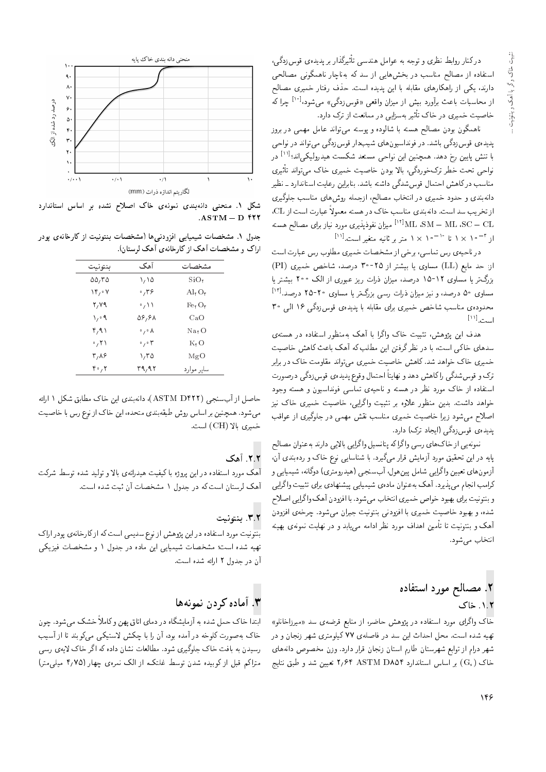درکنار روابط نظری و توجه به عوامل هندسی تأثیرگذار بر پدیدهی قوس(دگی، استفاده از مصالح مناسب در بخشهایی از سد که بهناچار ناهمگونی مصالحی دارند، یکی از راهکارهای مقابله با این پدیده است. حذف رفتار خمیری مصالح از محاسبات باعث برآورد بیش از میزان واقعی «قوسزدگی» می شود،<sup>[۱۰]</sup> چرا که خاصیت خمیری در خاک تأثیر بهسزایی در ممانعت از ترک دارد.

ناهمگون بودن مصالح هسته با شالوده و پوسته می تواند عامل مهمی در بروز پدیدهی قوسزدگی باشد. در فونداسیونهای شیبدار قوسزدگی می تواند در نواحی با تنش پایین رخ دهد. همچنین این نواحی مستعد شکست هیدرولیکی,اند؛<sup>[۱۱]</sup> در نواحی تحت خطر ترکخوردگی، بالا بودن خاصیت خمیری خاک می تواند تأثیری مناسب درکاهش احتمال قوس شدگی داشته باشد. بنابراین رعایت استاندارد ـ نظیر دانهبندی و حدود خمیری در انتخاب مصالح، ازجمله روش۵ای مناسب جلوگیری از تخریب سد است. دانهبندی مناسب خاک در هسته معمولاً عبارت است از CL، ML ،SM  $-$  ML ،SC  $-$  CL ، میزان نفوذپذیری مورد نیاز برای مصالح هسته  $^{[11]}$ ار <sup>۳ – ه</sup> ۱ × ۱ تا <sup>۱۰ – ه</sup> ۱ × ۱ متر بر ثانیه متغیر است.<sup>[۱۱]</sup>

در ناحیهی رس تماسی، برخی از مشخصات خمیری مطلوب رس عبارت است از: حد مایع (LL) مساوی یا بیشتر از ۲۵-۳۰ درصد، شاخص خمیری (PI) بزرگ تر یا مساوی ۱۲-۱۵ درصد، میزان ذرات ریز عبوری از الک °۲۰ بیشتر یا مساوی ۵۰ درصد، و نیز میزان ذرات رسی بزرگ تر یا مساوی ۲۰-۲۵ درصد.[۱۲] محدوده، مناسب شاخص خمیری برای مقابله با پدیدهی قوس زدگی ۱۶ الی ۳۰  $\left[\mathbf{M}\right]$  .  $\mathbf{L}_{\text{max}}$ 

هدف این پژوهش، تثبیت خاک واگرا با آهک بهمنظور استفاده در هستهی سدهای خاکی است، با در نظرگرفتن این مطلب که آهک باعث کاهش خاصیت خمیری خاک خواهد شد.کاهش خاصیت خمیری میتواند مقاومت خاک در برابر ترک و قوس شدگی را کاهش دهد و نهایتاً احتمال وقوع پدیدهی قوس زدگی درصورت استفاده از خاک مورد نظر در هسته و ناحیهی تماسی فونداسیون و هسته وجود خواهد داشت. بدین منظور علاوه بر تثبیت واگرایی، خاصیت خمیری خاک نیز اصلاح می شود زیرا خاصیت خمیری مناسب نقش مهمی در جلوگیری از عواقب یدیدهی قوسزدگی (ایجاد ترک) دارد.

نمونهيي از خاک هاي رسي واگراكه پتانسيل واگرايي بالايي دارند به عنوان مصالح پایه در این تحقیق مورد آزمایش قرار مهگیرد. با شناسایی نوع خاک و ردهبندی آن، أزمونهاي تعيين واگرايي شامل پينهول، أبسنجي (هيدرومتري) دوگانه، شيميايي و کرامب انجام می پذیرد. آهک به عنوان مادهی شیمیایی پیشنهادی برای تثبیت واگرایی و بنتونیت برای بهبود خواص خمیری انتخاب میشود. با افزودن آهک واگرایی اصلاح شده، و بهبود خاصیت خمیری با افزودنی بنتونیت جبران میشود. چرخهی افزودن آهک و بنتونیت تا تأمین اهداف مورد نظر ادامه مییابد و در نهایت نمونهی بهینه انتخاب می شود.

#### ٢. مصالح مورد استفاده ٠١.٢. خاک

خاک واگرای مورد استفاده در پژوهش حاضر، از منابع قرضهی سد «میرزاخانلو» تهیه شده است. محل احداث این سد در فاصلهی ۷۷ کیلومتری شهر زنجان و در شهر درام از توابع شهرستان طارم استان زنجان قرار دارد. وزن مخصوص دانههای خاک (Gs) بر اساس استاندارد ۲٫۶۴ ASTM DA۵۴ تعیین شد و طبق نتایج



شکل ۱. منحنی دانهبندی نمونهی خاک اصلاح نشده بر اساس استاندارد  $ASTM - D$  from

جدول ۱. مشخصات شیمیایی افزودنیها (مشخصات بنتونیت از کارخانهی پودر اراک و مشخصات آهک از کارخانهی آهک لرستان).

| بنتونيت                  | آهک                            | مشخصات                         |
|--------------------------|--------------------------------|--------------------------------|
| $\Delta \Delta/T \Delta$ | ۱٬۱۵                           | SiO <sub>r</sub>               |
| ۷۴٫۰۷                    | ۳۶،                            | Al <sub>r</sub> O <sub>r</sub> |
| ۲,۷۹                     | 。ハ                             | $\rm{Fe}_7O_7$                 |
| ۹ ۱٫۰                    | ۵۶٬۶۸                          | CaO                            |
| ۲٫۹۱                     | ◦ / ◦ 人                        | $\text{Na}_7\text{O}$          |
| ۰٫۲۱                     | $\cdot$ , $\cdot$ $\mathsf{r}$ | $K_{\mathbf{r}}$ O             |
| ۳٬۸۶                     | ۱٬۳۵                           | MgO                            |
| ۲۰٫۲                     | ۳۹٬۹۲                          | سایر موارد                     |

حاصل از آبسنجي (ASTM D۴۲۲)، دانهبندي اين خاک مطابق شکل ١ ارائه می شود. همچنین بر اساس روش طبقهبندی متحده، این خاک از نوع رس با خاصیت خميري بالا (CH) است.

#### ٢.٢. آهک

آهک مورد استفاده در این پروژه با کیفیت هیدراتهی بالا و تولید شده توسط شرکت آهک لرستان است که در جدول ۱ مشخصات آن ثبت شده است.

#### ٣.٢. ينتونيت

بنتونیت مورد استفاده در این پژوهش از نوع سدیمی است که از کارخانهی پودر اراک تهیه شده است؛ مشخصات شیمیایی این ماده در جدول ۱ و مشخصات فیزیکی آن در جدول ۲ ارائه شده است.

#### ٣. آماده کردن نمونهها

ابتدا خاک حمل شده به آزمایشگاه در دمای اتاق پهن وکاملاً خشک می شود. چون خاک بهصورت کلوخه در آمده بود، آن را با چکش لاستیکی میکوبند تا از آسیب رسیدن به بافت خاک جلوگیری شود. مطالعات نشان داده که اگر خاک لایهی رسی متراکم قبل از کوبیده شدن توسط غلتک، از الک نمرهی چهار (۴٫۷۵ میلیمتر)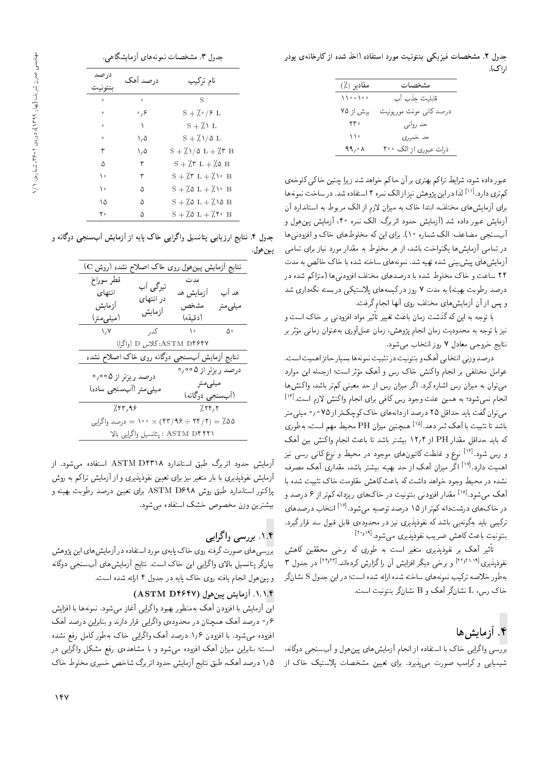حدول ۲. مشخصیات فیزیکی بنتونیت مورد استفاده (اخذ شده از کارخانهی بودر ارا ک).

| مقادير (٪)    | مشخصات                   |
|---------------|--------------------------|
| $110 - 100$   | قابليت جذب آب            |
| بیش از ۷۵     | درصد کانبی مونت موریونیت |
| $rr \cdot$    | حد رواني                 |
| $\mathcal{L}$ | حد خمیری                 |
| 99,00         | ذرات عبوري از الک ۲۰۰    |
|               |                          |

عبور داده شود، شرایط تراکم بهتری بر آن حاکم خواهد شد زیرا چنین خاکی کلوخهی کم تری دارد.<sup>[۱۱]</sup> لذا در این پژوهش نیزازالک نمره ۴ استفاده شد. در ساخت نمونه ها<br>بارگیمان می باشد و این با به بار زایم برای آزمایس@ای محتلف، آبتدا حاف به میزان لازم از آلاف مربوط به استاندارد آن<br>آبتا به این است است از این است است گیرانام به به سبق این این ازمایس عبور داده سد (ازمایس حدود آبرین: الک نمره ۱۰۱ ازمایس پین هول و<br>آ آب سنجي مضاعف: الك شماره ١٠). براي اين كه مخلوط هاي خاك و افزودني ها در تمامی آزمایش ها یکنواخت باشد، از هر مخلوط به مقدار مورد نیاز برای تمامی آزمایش های پیش بینی شده تهیه شد. نمونههای ساخته شده با خاک خالص به مدت ۲۴ ساعت و خاک مخلوط شده با درصدهای مختلف افزودنی ها (متراکم شده در درصد رطوبت بهینه) به مدت ۷ روز درکیسههای پلاستیکی دربسته نگهداری شد و يس از آن أزمايش هاى مختلف روى أنها انجام گرفت.

با توجه به این که کدشت زمان باعث تعییر تاتیر مواد افزودنی بر خاک است و<br>-نیز با نوجه به محدودیت زمان انجام پژوهس، زمان عمل اوری به عنوان زمانی موتر بر<br>تعلیم شدت مسلمان ۷۰۰۷ - انتخاب مسلم نتايج خروجي معادل ٧ روز انتخاب مي شود.

درصد وزني انتخابي أهك و بنتونيت در تثبيت نمونهها بسيار حائز اهميت است. OQ=wt u}= xrtHR= &CU= QF wt ly; w TQ l=N Vvm =w s=Hv= Q@ |irDNt pt=wa - می نوان به میزان رس اساره درد. آ در میزان رس از حد معینی نم در باسد، وانسس ها<br>اساسیت میزان انجام نمیشود؛ به همین علت وجود رس کافی برای انجام واکنش لازم است.<sup>[۱۲]</sup><br>- مارگزی باید میانا های مساحات است. می توان گفت باید حداقل ٢٥ درصد از دانههای خاک کوچک تر از ٧٥ ° / ° میلی متر باشد تا تثبیت با آهک ثمر دهد.<sup>[۱۵]</sup> همچنین میزان PH محیط مهم است، بهطوری<br>کر این میزان مقبل PH ایران میلاد و میزان به باران ایران ایران که باید حداقل مقدار PH از ۱۲٫۴ بیشتر باشد تا باعث انجام واکنش بین آهک و رس شود.<sup>[۱۶]</sup> نوع و غلظت کاتیون های موجود در محیط و نوع کانی رسی نیز<br>ا اهمیت دارد.<sup>[۱۷]</sup> اگر میزان آهک از حد بهینه بیشتر باشد، مقداری آهک مصرف <sub>اهم</sub>یب دارد.<br>.. سده در محیط وجود حواهد داست به باعث تاهس مقاومت حات سبیت سده با<br>آحکم میدادا استادانیست و بسینمای با میدانیم از کو با ره آهک میشود.<sup>[۱۸]</sup> مقدار افزودنی بنتونیت در خاکهای ریزدانه کمتر از ۶ درصد و<br>منابع باید میدانید که باید ۱۸ و ۱۸ در خاک های درشتدانه کمتر از ۱۵ درصد توصیه می شود.<sup>[۱۶]</sup> انتخاب درصدهای<br>برگر سال گرد سال برگرین نفسی ترکیبی باید بهگونهیی باشد که نفوذپذیری نیز در محدودهی قابل قبول سد قرار گیرد. بنتونیت باعث کاهش ضریب نفوذپذیری می شود.<sup>[۱۰</sup><sup>٬۱۹]</sup><br>- پایه با کرمیسی بود : ن

تاثیر اهک بر نفوذپذیری متغیر است به طوری که برخی محققین کاهش<br>: ۱۲۸٬۱۸۱۹ - میره از این تصالح این کو این ۲۴٬۲۲۱ - ۱۰ س نفوذپذیری<sup>[۲۲٫۲۱۱۹]</sup> و برخی دیگر افزایش آن راگزارش کردهاند.<sup>[۲۳٫۲۱۳]</sup> در جدول ۳<br>با مساله به طور خلاصه تركيب نمونه هاي ساخته شده ارائه شده است؛ در اين جدول S نشا نگر  $\mathbb L$  خاک رس،  $\mathbb L$  نشانگر آهک و  $\mathbb B$  نشانگر بنتونیت است.

### ۴. آزمایش ها

بررسی واگرایی خاک با استفاده از انجام أزمایش های پین هول و أبسنجی دوگانه، شیمیایی و کرامب صورت میپذیرد. برای تعیین مشخصات پلاستیک خاک از

| جدول ٣. مشخصات نمونههای أزمایشگاهی. |  |  |  |
|-------------------------------------|--|--|--|
|-------------------------------------|--|--|--|

| در صد   | درصد آهک | نام ترکیب                                   |
|---------|----------|---------------------------------------------|
| بنتوبيت |          |                                             |
| $\circ$ | ۰        | S                                           |
| $\circ$ | ۰,۶      | $S + \lambda \cdot / 2L$                    |
| $\circ$ | ١        | $S + \lambda \setminus L$                   |
| $\circ$ | ۰٬۵      | $S + \lambda/\lambda L$                     |
| ٣       | ۰٬۵      | $S + \lambda/\lambda L + \lambda r B$       |
| ۵       | ٣        | $S + \lambda T L + \lambda S B$             |
| ه ۱     | ٣        | $S + \lambda T L + \lambda V$ B             |
| ١٠      | ۵        | $S + \lambda \delta L + \lambda \delta B$   |
| ۱۵      | ۵        | $S + \lambda \delta L + \lambda \delta B$   |
| ۲۰      | ۵        | $S + \lambda \delta L + \lambda \delta R$ B |

جدول ۴. نتایج ارزیابی پتانسیل واگرایی خاک پایه از آزمایش آبسنجی دوگانه و يين هول.

| نتایج أزمایش پینهول روی خاک اصلاح نشده (روش C)                                                      |                                 |                                     |                   |  |  |
|-----------------------------------------------------------------------------------------------------|---------------------------------|-------------------------------------|-------------------|--|--|
| قطر سوراخ<br>انتهای<br>آزمايش<br>(میلی متر)                                                         | تیرگی آب<br>در انتهای<br>آزمايش | مدت<br>آزمایش هد<br>مشخص<br>(دقيقه) | هد آب<br>میلی متر |  |  |
| $\lambda/\lambda$                                                                                   | كدر                             | $\lambda$                           | ۵۰                |  |  |
|                                                                                                     | ASTM D۴۶۴۷: کلاس D (واگرا)      |                                     |                   |  |  |
| نتایج أزمایش أبسنجی دوگانه روی خاک اصلاح نشده                                                       |                                 |                                     |                   |  |  |
| درصد ریزتر از ۰٫۰۰۵<br>درصد ریزتر از ۰٫۰۰۵<br>میلی متر<br>میلی متر (آبسنجی ساده)<br>(أبسنجي دوگانه) |                                 |                                     |                   |  |  |
|                                                                                                     | 7.797<br>7.85,98                |                                     |                   |  |  |
| ۵۵٪ = ۲۴/۲۱ ÷ ۳۴/۹۶ × ۱۰۰ = درصد واگرایی                                                            |                                 |                                     |                   |  |  |
| ASTM D۴۲۲۱ : پتانسیل واگرایی بالا                                                                   |                                 |                                     |                   |  |  |
|                                                                                                     |                                 |                                     |                   |  |  |

آزمایش حدود اتربرگ طبق استاندارد ASTM D۴۳۱۸ استفاده می شود. از آزمایش نفوذیذیری با بار متغیر نیز برای تعیین نفوذیذیری و از آزمایش تراکم به روش پراکتور استاندارد طبق روش ASTM D۶۹۸ برای تعیین درصد رطوبت بهینه و بیشترین وزن مخصوص خشک استفاده می شود.

#### ۱.۴. بورسے <sub>،</sub> واگرایے

بررسی های صورت گرفته روی خاک پایهی مورد استفاده در آزمایش های این پژوهش بیانگر یتانسیل بالای واگرایی این خاک است. نتایج آزمایش های آبسنجی دوگانه و پین هول انجام یافته روی خاک یایه در جدول ۴ ارائه شده است.

۱.۱.۴. <mark>آزمایش پین۵ول (ASTM D۴۶۴۷)</mark><br>این آزمایش با افزودن آهک بهمنظور بهبود واگرایی آغاز می شود. نمونهها با افزایش این آزمایس با افزودن آهف به منظور بهبود وا درایی آغاز می سود. تمونه ها با آفزایس<br>م ly; OYQOu}=Q@=v@ w OvQ=O Q=Qk |}=Qo =w |xOwOLt QO u=vJty ly; OYQO 0 6 افزوده می شود. با افزودن ۱٫۶ درصد آهک واگرایی خاک به طور کامل رفع نشده است؛ بنابراین میزان آهک افزوده می شود و با مشاهدهی رفع مشکل واگرایی در ۱٫۵ درصد أهک، طبق نتایج أزمایش حدود اتربرگ شاخص خمیری مخلوط خاک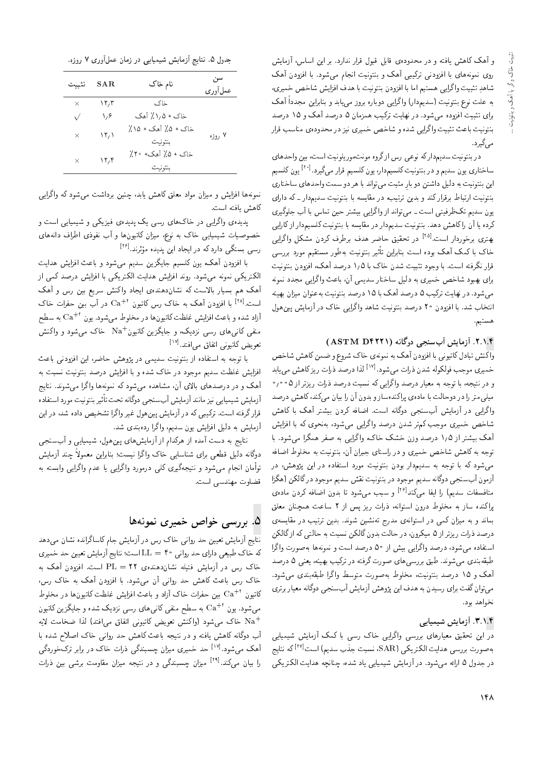و آهک کاهش یافته و در محدودهی قابل قبول قرار ندارد. بر این اساس، آزمایش<br>روی نمونههای با افزودنی ترکیبی آهک و بنتونیت انجام می,شود. با افزودن آهک روی نمونه های با افزودنی ترتیبی آهف و بسوییت آنجام می سود. با افزودن آهف<br>ماسکند: اگرات اسلاسی سأهلو سبيب وأكرايي هستيم أما با افزودن بسوتيب با هذف أفزايس سأحص حميرى،<br>المصدر المصدر المصدر المصري المصري الصحيح المصدر المصدر المصدر أنّه م \* به علت نوع بنتونيت (سديمدار) واكرايي دوباره بروز مي يابد و بنابراين مجددا اهک<br>المصدر المصدر برای سبیب افزوده می سود. در نهایت ،رئیب همزمان ۵ درصد اهت و ۱۵ درصد<br>مسیح افزوده می اگرانست و برای مسیح بسوییت باعث نیست وآدرایی سده و ساحص حمیری نیز در محدودهی مناسب قرار<br>ج میگیرد.<br>در بنتونیت سدیمدارکه نوعی رس ازگروه مونتموریلونیت است، بین واحدهای

در بسوییت سدیم دار نه نوعی رس از دروه مونت موزیدوییت است، بین واحدهای<br>ا ساختاری یون سدیم و در بنتونیت کلسیمدار، یون کلسیم قرار میگیرد.<sup>[۲۰]</sup> یون کلسیم<br>ا این بنتونیت به دلیل داشتن دو بارِ مثبت می تواند با هر دو سمت واحدهای ساختاری<br>تاریخچه ایجا با مصنوع که مصنوع و مصنوع |=Q=O xm Q=Os}OU C}vwDv@ =@ xU}=kt QO '?}DQD u}O@ w Ovm Q=QkQ@ \=@DQ= C}vwDv@ یوں سدیم تک طرفیتی است ۔ می تواند از وا ترایبی بیستر حین نما س با آب جنوبیری<br>مسلمات امکان مسلمات میں مطلب اس اس اس اس اس اس اس اس ایران درده یا آن را داهس دهد. بسوییت سدیمدار در مقایسه با بسوییت نسیبمدار از تارایی<br>مسائل از این استاد آزاد از سویستان سازمان از این مسیح دارای این <sup>[۲۵]</sup> در تحقیق حاضر هدف برطرف کردن مشکل واگرایی<br>ا "CU= Q=OQwNQ@ |QDy@ خاک با دمک اهک بوده است بنابراین تاتیر بنتونیت بهطور مستقیم مورد بررسی<br>--ا بگرن با به سویست بودن بن این اهدا قرار نگرفته است. با وجود تثبیت شدن خاک با ۱٫۵ درصد آهک، افزودن بنتونیت<br>برای بهبود شاخص خمیری به دلیل ساختار سدیمی آن، باعث واگرایی مجدد نمونه می شود. در نهایت ترکیب ۵ درصد آهک با ۱۵ درصد بنتونیت به عنوان میزان بهینه می سود. در نهایت برنیب تا درصد آهف با ۱۵ درصد بسوییت به عبوان میزان بهیئه<br>اسما میدان است و است و است و تاریخ است که است اگرام میزان که است و است و است و است و است و است و است و است و ا انبخاب سد. با افزودن ° ۱ درصد بسونیت ساهد وآدرایی حاک در آزمایس پینهول<br>. هستيم.

#### ۲.۱.۴. آزمایش آبسنجی دوگانه (ASTM D۴۲۲۱)

واکنش تبادل کاتیونی با افزودن آهک به نمونهی خاک شروع و ضمن کاهش شاخص خمیری موجب فولکوله شدن ذرات میشود.<sup>[۱۷]</sup> لذا درصد ذرات ریزکاهش می یابد<br>مصدر است و در نتیجه، با توجه به معیار درصد واگرایی که نسبت درصد ذرات ریزتر از ۰٫۰۰۵<br>میلم.متر را در دوحالت با مادهی براکندهساز و بدون آن را بیان میکند، کاهش درصد مید<sub>ی</sub> متر را در دوخالب با ماده ی پرانندهساز و بدون آن را بیان می دند، ناهس درصد<br>اگرا Vy=m =@ ly; QDW}@ uOQm xi=[= "CU= xv=owO |HvU?; V}=tR; QO |}=Qo =w شاخص خمیری موجب کم تر شدن درصد واگرایی میشود، بهنحوی که با افزایش<br>آهک بیشتر از ۱٫۵ درصد وزن خشک خاک، واگرایی به صفر همگرا می,شود. با اهف بيستر از 1/4 درصد وزن حسف حاف، وأدرايي به صفر همدرا مي سود. با<br>-نوجه به داهس ساحص حمیری و در راستای جبران آن، بسوییت به محلوط اصافه<br>محمد است می شود که با توجه به سدیمدار بودن بنتونیت مورد استفاده در این پژوهش، در آزمون أبسنجي دوگانه سديم موجود در بنتونيت نقش سديم موجود درگالکن (هگزا متافسفات سدیم) را ایفا میکند<sup>[۱۶]</sup> و سبب میشود تا بدون اضافه کردن مادهی<br>اکنیت را پرانمده ساز به محلوط درون استوانه، درات ریز پس از ۱ ساعت همچنان معلق<br>سایت اسکات بماند و به میزان تمی در استوانهی مدرج نهستین سوند. بدین برتیب در مقایسهی<br>استفاده استفاده است. درصد ذرات ریزتر از ۵ میکرون، در حالت بدون گالکن نسبت به حالتی که از گالکن<br>استفاده می شود، درصد واگرامی بیش از ۵۰ درصد است و نمونهها بهصورت واگرا استفاده می سود، درصد وا درایی بیس از °تا درصد است و نموده ها به صورت وا درآ<br>با تعدید میده بدید با مطلب است از تکریف میکند و میکند و میدهد OYQO 5 |va} 'xv}y@ ?}mQD QO xDiQo CQwY |=y|UQQ@j@] "OvwW|t |Ov@xk@] آهک و ۱۵ درصد بنتونیت، مخلوط بهصورت متوسط واگرا طبقهبندی می شود. می توان گفت برای رسیدن به هدف این پژوهش آزمایش أبسنجی دوگانه معیار برتری تخواهد بود.

#### |}=}t}W V}=tR; "3"1"4

<mark>در</mark> این تحقیق معیارهای بررسی واگرایی خاک رسی با کمک آزمایش شیمیایی به صورت بررسی هدایت الکتریکی (SAR، نسبت جذب سدیم) است<sup>[۲۷]</sup> که نتایج<br>میداری اسلام در جدول ۵ ارائه می شود. در آزمایش شیمیایی یاد شده، چنانچه هدایت الکتریکی

جدول ۵. نتایج آزمایش شیمیایی در زمان عملآوری ۷ روزه.

| تثست      | SAR. | نام خاک                       | سن<br>عهل أو ري |
|-----------|------|-------------------------------|-----------------|
| ×         | ۱۲٬۳ | خاک                           |                 |
| $\sqrt{}$ | ۱٬۶  | خاک + ۱٫۵٪ آهک                |                 |
| ×         | ۱۲٬۱ | خاک + ۵٪ آهک + ۱۵٪<br>بنتونيت | ۷ روزه          |
| ×         | ۱۲٬۴ | خاک + ۵٪ آهک+ ۲۰٪<br>بنتونيت  |                 |

نمونهها افزایش و میزان مواد معلق کاهش یابد، چنین برداشت می شود که واگرایی كاهش بافته است.

پدیده یواگرایی در خاکهای رسی یک پدیده ی فیزیکی و شیمیایی است و خصوصیات شیمیایی خاک به نوع، میزان کاتیونها و آب نفوذی اطراف دانههای رسی بستگی دارد که در ایجاد این پدیده مؤثرند.<sup>[۲۶]</sup><br>سایانیسمیل کوچید میکا

وىرىد.<br>د با افزودن اهک، یون نتسیم جایدزین سدیم می سود و باعث افزایس هدایت<br>حرم مدینی از این ایران است است است که است است کرد. الکتریکی نمونه میشود. روند افزایش هدایت الکتریکی با افزایش درصد کمی از<br>آهک هم بسیار بالاست که نشان(هندهی ایجاد واکنش سریع بین رس و آهک اهک هم بسیار بالاست که تسان(هندوی ایجاد واکسن شریع بین رس و اهک<br>استفادات این سقی کردن کارگرفت X و حاضر کارشی تو این این <sup>[۲۸]</sup> با افزودن آهک به خاک رس کاتیون <sup>۲+</sup>Ca در آب بین حفرات خاک<br>استفاد استفاد استفاده استفاده با استفاد استفاده میشد و تاریخ است. با افزودن آهف به حاف رس دانیون<br>آیات مساح این ایران مایل کاه أزاد شده و باعث افزایش غلظت کاتیونها در مخلوط میشود. یون "+Ca به سطح<br>منبر کان ساست میشه کرد کرد کرد و اینچ مساح کرد و اکنون منفی کانبی های رسی نزدیک، و جایگزین کاتیون $\mathrm{Na}^+$  خاک می شود و واکنش [17] "ODi=|t j=iD= |vw}D=m Z}waD

با توجه به استفاده از بنتونیت سدیمی در پژوهش حاضر، این افزودنی باعث<br>افزایش غلظت سدیم موجود در خاک شده و با افزایش درصد بنتونیت نسبت به آهک و در درصدهای بالای آن، مشاهده می شود که نمونهها واگرا می شوند. نتایج اهک و در درصدهای بالای آن، مساهده می سود به بمونهها وادرا می سوند. بنایج<br>آیا همه سازمین این آیا هم آینده کار سمیتگاه به سونه قرار گرفته است. ترکیبی که در آزمایش پین هول غیر واگرا تشخیص داده شد، در این ازمایش شیمیایی نیز مانند ازمایش ابسنجی دودانه تحت تا<br>- استگریز است میکرد که کرد که است قرار درقته است. برتیبی ته در آزمایس پین هول غیر وا درآ سنجیص داده سد، در این<br>آمان مسلمان این است ازمایس به دلیل افزایس یون سدیم، وادرا ردهبندی سد.<br>منا

سایج به دست آمده از هرندام از آزمایس های پین هول، سیمیایی و آبستجی<br>۱۰ - است است که در است که کسانگاری استان دوکانه دلیل فطعی برای شناسایی خاک وا درا نیست؛ بنابراین معمولا چند ازمایش<br>مشاهدان استان .<br>توأمان انجام مے شود و نتیجهگیری کلی درمورد واگرایی یا عدم واگرایی وابسته به قضاوت مهندسی است.

#### ۵. بررسی خواص خمیری نمونهها

نتایج آزمایش تعیین حد روانی خاک رس در آزمایش جام کاساگرانده نشان میردهد که خاک طبیعی دارای حد روانی ۴۰ = LL است؛ نتایج آزمایش تعیین حد خمیری خاک رس در آزمایش فتیله نشان<mark>دهندوی ۲۲</mark> = PL است. افزودن آهک به<br>خاک رس باعث کاهش حد روانبی آن میشود. با افزودن آهک به خاک رس، حاف رس باعث ناهس حد روانی آن می سود. با افزودن آهف به حاف رس،<br>سراجی + + این سیف این کو آیا سیف اینا به بنایا مرکزی این میلیا Nt" بین حفرات خاک آزاد و باعث افزایش غلظت کاتیون ها در مخلوط Ca<br>کتاب O – L د<sub>ا يون</sub><br>. میشود. یون "+Ca به سطح منفی کانی۵های رسی نزدیک شده و جایگزین کاتیون<br>+ M هر باکر سده بر در اکنید و حرکت میروان +Na خاک میشود (واکنش تعویض کاتیونی اتفاق می|فتد) لذا ضخامت لایه<br>آب دوگانه کاهش یافته و در نتیجه باعث کاهش حد روانی خاک اصلاح شده با اب دودانه داهس یافته و در سجه باعث داهس حد روانی حات اصلاح سده با<br>آهک مرشود.<sup>[۱۷]</sup> حد خمیری میزان حسیندگیر ذرات خاک در برابر ترکخوردگیر اهک میسود. پسند حمیری میزان چسبندنی درات حات در برابر برت حوردنی<br>اساسی میسافاتا را بیان م<sub>یکند</sub>.[۲۹ میزان چسبندگی و در نتیجه میزان مقاومت برشی بین ذرات<br>.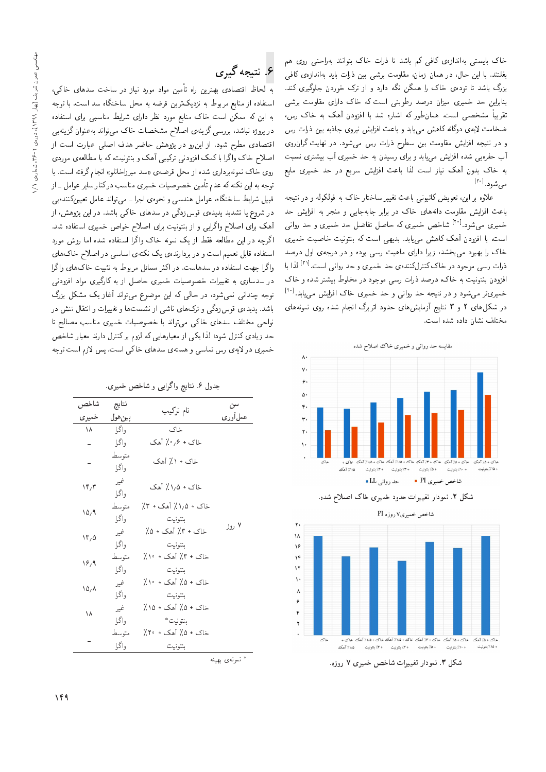خاک بایستی بهاندازهی کافی کم باشد تا ذرات خاک بتوانند بهراحتی روی هم بغلتند. با این حال، در همان زمان، مقاومت برشی بین ذرات باید بهاندازهی کافی بزرگ باشد تا توده، خاک را همگن نگه دارد و از ترک خوردن جلوگیری کند. بنابراین حد خمیری میزان درصد رطوبتی است که خاک دارای مقاومت برشی تقریباً مشخصبی است. همانطور که اشاره شد با افزودن آهک به خاک رس، ضخامت لایهی دوگانه کاهش می،یابد و باعث افزایش نیروی جاذبه بین ذرات رس و در نتیجه افزایش مقاومت بین سطوح ذرات رس می شود. در نهایت گران روی آب حفرهیی شده افزایش می،یابد و برای رسیدن به حد خمیری آب بیشتری نسبت به خاک بدون آهک نیاز است لذا باعث افزایش سریع در حد خمیری مایع می شود. <sup>[۳۰]</sup>

علاوه بر این، تعویض کاتیونی باعث تغییر ساختار خاک به فولکوله و در نتیجه باعث افزایش مقاومت دانههای خاک در برابر جابهجایی و منجر به افزایش حد خمیری میشود.<sup>[۲۰]</sup> شاخص خمیری که حاصل تفاضل حد خمیری و حد روانی است، با افزودن آهک کاهش مییابد. بدیهی است که بنتونیت خاصیت خمیری خاک را بهبود می بخشد، زیرا دارای ماهیت رسی بوده و در درجهی اول درصد ذرات رسی موجود در خاک کنترلکنندهی حد خمیری و حد روانی است.<sup>[۳۱]</sup> لذا با افزودن بنتونیت به خاک، درصد ذرات رسی موجود در مخلوط بیشتر شده و خاک خمیریتر میشود و در نتیجه حد روانی و حد خمیری خاک افزایش مییابد.<sup>[۱۰]</sup> در شکلهای ۲ و ۳ نتایج آزمایشهای حدود اتربرگ انجام شده روی نمونههای مختلف نشان داده شده است.



شکل ۲. نمودار تغییرات حدود خمیری خاک اصلاح شده.



شکل ۳. نمودار تغییرات شاخص خمیری ۷ روزه.

## ۶. نتيجه گېږي

به لحاظ اقتصادی بهترین راه تأمین مواد مورد نیاز در ساخت سدهای خاکی، استفاده از منابع مربوط به نزدیکترین قرضه به محل ساختگاه سد است. با توجه به این که ممکن است خاک منابع مورد نظر دارای شرایط مناسبی برای استفاده در پروژه نباشد، بررسی گزینهی اصلاح مشخصات خاک میتواند بهعنوان گزینهیی اقتصادی مطرح شود. از این رو در پژوهش حاضر هدف اصلی عبارت است از اصلاح خاک واگرا با کمک افزودنی ترکیبی آهک و بنتونیت، که با مطالعهی موردی روی خاک نمونهبرداری شده از محل قرضهی «سد میرزاخانلو» انجام گرفته است. با توجه به این نکته که عدم تأمین خصوصیات خمیری مناسب درکنار سایر عوامل ـ از قبیل شرایط ساختگاه، عوامل هندسی و نحوهی اجرا ـ می تواند عامل تعیینکنندهیی در شروع یا تشدید پدیده، قوسزدگی در سدهای خاکی باشد. در این پژوهش، از أهک برای اصلاح واگرایی و از بنتونیت برای اصلاح خواص خمیری استفاده شد. اگرچه در این مطالعه فقط از یک نمونه خاک واگرا استفاده شده اما روش مورد استفاده قابل تعمیم است و در بردارندهی یک نکتهی اساسی در اصلاح خاک های واگرا جهت استفاده در سدهاست. در اکثر مسائل مربوط به تثبیت خاکهای واگرا در سدسازی به تغییرات خصوصیات خمیری حاصل از به کارگیری مواد افزودنبی توجه چندانی نمی شود، در حالی که این موضوع می تواند آغاز یک مشکل بزرگ باشد. پدیدهی قوسزدگی و ترکهای ناشی از نشستها و تغییرات و انتقال تنش در نواحی مختلف سدهای خاکی می تواند با خصوصیات خمیری مناسب مصالح تا حد زیادی کنترل شود؛ لذا یکی از معیارهایی که لزوم برکنترل دارند معیار شاخص خمیری در لایهی رس تماسی و هستهی سدهای خاکی است. پس لازم است توجه

جدول ۶. نتایج واگرایی و شاخص خمیری.

| شاخص                       | نتايج          | نام ترکیب                      | سن                                        |
|----------------------------|----------------|--------------------------------|-------------------------------------------|
| خميري                      | پينهول         |                                | عمل أو ري                                 |
| ۱۸                         | وا گرا         | خاک                            |                                           |
|                            | واگرا          | خاک + ۰٫۶٪ آهک                 |                                           |
|                            | متوسط<br>واگرا | خاک + ۱٪ آهک                   |                                           |
| ۱۴٫۳                       | غير<br>واگرا   | خاک + ۱٫۵٪ آهک                 |                                           |
| ۱۵٬۹                       | متوسط<br>واگرا | خاک + ۱٫۵٪ آهک + ۳٪<br>بنتونيت |                                           |
| $\Upsilon$                 | غير<br>واگرا   | خاک + ۳٪ آهک + ۵٪<br>بنتونيت   | ۷ روز                                     |
| ۱۶٬۹                       | متوسط<br>واگرا | خاک + ۳٪ آهک + ۱۰٪<br>بنتونيت  |                                           |
| $\lambda \Delta / \lambda$ | غير<br>واگرا   | خاک + ۵٪ آهک + ۱۰٪<br>بنتونيت  |                                           |
| ۱۸                         | غير<br>واگرا   | خاک + ۵٪ آهک + ۱۵٪<br>بنتونيت* |                                           |
|                            | متوسط<br>واگرا | خاک + ۵٪ آهک + ۲۰٪<br>بنتونيت  |                                           |
|                            |                |                                | $\mathbb{R}^*$ is a set of $\mathbb{R}^*$ |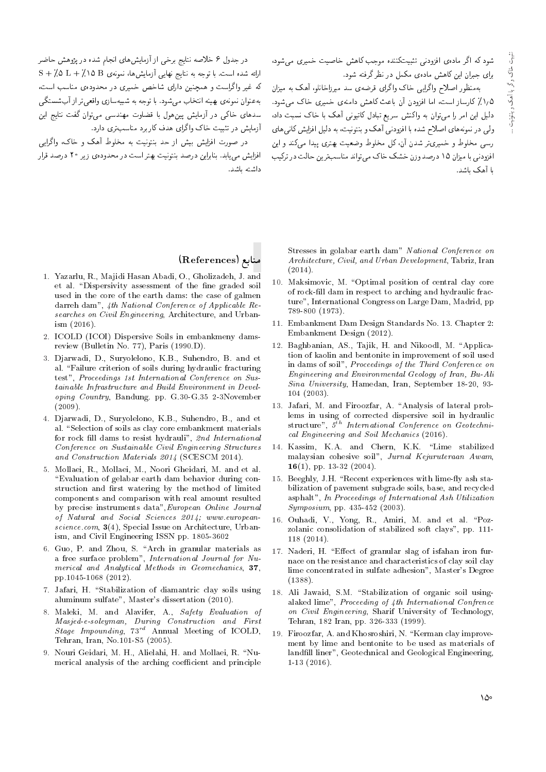.<br>شود که اگر مادهی افزودنی تثبیتکننده موجب کاهش خاصیت خمیری م<sub>ها</sub>شود، برای جبران این کاهش مادهی مکمل در نظر گرفته شود.

بهمنظور اصلاح واگرایی خاک واگرای قرضهی سد میرزاخانلو، آهک به میزان ۰٫۵٪ کارساز است، اما افزودن آن باعث کاهش دامنهی خمیری خاک می شود. دلیل این امر را می توان به واکنش سریع تبادل کاتیونی آهک با خاک نسبت داد، .<br>ولمي در نمونه هاي اصلاح شده با افزودني آهک و بنتونيت، به دليل افزايش کاني هاي رسی مخلوط و خمیری تر شدن آن، کل مخلوط وضعیت بهتری پیدا مهرکند و این افزودنے, یا میزان ۱۵ درصد وزن خشک خاک مے,تواند مناسب ترین حالت در ترکیب با آهک باشد.

در جدول ۶ خلاصه نتایج برخی از آزمایش های انجام شده در پژوهش حاضر  $S + \sqrt{2}$  ارائه شده است. با توجه به نتایج نهایی آزمایش ها، نمونهی B + /0 L + / \ 0 B که غیر واگراست و همچنین دارای شاخص خمیری در محدودهی مناسب است، بهعنوان نمونهي بهينه انتخاب مه شود. با توجه به شبيهسازي واقعي تر از آب شستگي سدهای خاکمی در آزمایش پینهول با قضاوت مهندسی می توان گفت نتایج این آزمایش در تثبیت خاک واگرای هدف کار برد مناسب تری دارد.

در صورت افزایش بیش از حد بنتونیت به مخلوط آهک و خاک، واگرام, افزایش مهرپابد. بنابراین درصد بنتونیت بهتر است در محدودهی زیر ۲۰ درصد قرار داشته باشد.

#### منابع (References)

- 1. Yazarlu, R., Majidi Hasan Abadi, O., Gholizadeh, J. and et al. "Dispersivity assessment of the fine graded soil used in the core of the earth dams: the case of galmen darreh dam", 4th National Conference of Applicable Researches on Civil Engineering, Architecture, and Urban $ism (2016).$
- 2. ICOLD (ICOI) Dispersive Soils in embankmeny damsreview (Bulletin No. 77), Paris (1990.D).
- 3. Djarwadi, D., Suryolelono, K.B., Suhendro, B. and et al. "Failure criterion of soils during hydraulic fracturing test", Proceedings 1st International Conference on Sustainable Infrastructure and Build Environment in Developing Country, Bandung. pp. G.30-G.35 2-3November  $(2009).$
- 4. Djarwadi, D., Suryolelono, K.B., Suhendro, B., and et al. "Selection of soils as clay core embankment materials for rock fill dams to resist hydrauli", 2nd International Conference on Sustainable Civil Engineering Structures and Construction Materials 2014 (SCESCM 2014).
- 5. Mollaei, R., Mollaei, M., Noori Gheidari, M. and et al. "Evaluation of gelabar earth dam behavior during construction and first watering by the method of limited components and comparison with real amount resulted by precise instruments data", European Online Journal of Natural and Social Sciences 2014; www.europeanscience.com,  $3(4)$ , Special Issue on Architecture, Urbanism, and Civil Engineering ISSN pp. 1805-3602
- 6. Guo, P. and Zhou, S. "Arch in granular materials as a free surface problem". International Journal for Numerical and Analytical Methods in Geomechanics, 37, pp.1045-1068 (2012).
- 7. Jafari, H. "Stabilization of diamantric clay soils using aluminum sulfate". Master's dissertation (2010).
- 8. Maleki, M. and Alavifer, A., Safety Evaluation of  $\begin{tabular}{llll} \textit{Masjed-e-soleyman}, & During & Construction and & First \\ \textit{Stage Impounding}, & \begin{tabular}{l} $73^{rd}$ & Annual Meeting of ICOLD, \end{tabular} \end{tabular}$ Tehran, Iran, No.101-S5 (2005).
- 9. Nouri Geidari, M. H., Alielahi, H. and Mollaei, R. "Numerical analysis of the arching coefficient and principle

Stresses in golabar earth dam" National Conference on Architecture, Civil, and Urban Development, Tabriz, Iran  $(2014).$ 

- 10. Maksimovic, M. "Optimal position of central clay core of rock-fill dam in respect to arching and hydraulic fracture", International Congress on Large Dam, Madrid, pp 789-800 (1973).
- 11. Embankment Dam Design Standards No. 13. Chapter 2: Embankment Design (2012).
- 12. Baghbanian, AS., Tajik, H. and Nikoodl, M. "Application of kaolin and bentonite in improvement of soil used in dams of soil", Proceedings of the Third Conference on Engineering and Environmental Geology of Iran, Bu-Ali Sina University, Hamedan, Iran, September 18-20, 93- $104(2003)$ .
- 13. Jafari, M. and Firoozfar, A. "Analysis of lateral problems in using of corrected dispersive soil in hydraulic structure",  $5^{\overline{t}h}$  International Conference on Geotechnical Engineering and Soil Mechanics (2016).
- 14. Kassim, K.A. and Chern, K.K. "Lime stabilized malaysian cohesive soil", Jurnal Kejuruteraan Awam, 16(1), pp. 13-32 (2004).
- 15. Beeghly, J.H. "Recent experiences with lime-fly ash stabilization of pavement subgrade soils, base, and recycled asphalt", In Proceedings of International Ash Utilization Symposium, pp. 435-452 (2003).
- 16. Ouhadi, V., Yong, R., Amiri, M. and et al. "Pozzolanic consolidation of stabilized soft clays", pp. 111- $118(2014).$
- 17. Naderi, H. "Effect of granular slag of isfahan iron furnace on the resistance and characteristics of clay soil clay lime concentrated in sulfate adhesion", Master's Degree  $(1388).$
- 18. Ali Jawaid, S.M. "Stabilization of organic soil usingalaked lime", Proceeding of  $4th$  International Confrence on Civil Engineering, Sharif University of Technology, Tehran, 182 Iran, pp. 326-333 (1999).
- 19. Firoozfar, A. and Khosroshiri, N. "Kerman clay improvement by lime and bentonite to be used as materials of landfill liner", Geotechnical and Geological Engineering,  $1-13(2016)$ .